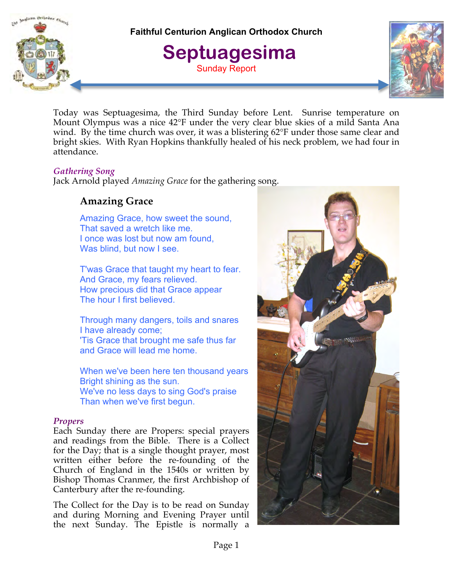malican Orthodox Church

**Faithful Centurion Anglican Orthodox Church**

 **Septuagesima** Sunday Report



Today was Septuagesima, the Third Sunday before Lent. Sunrise temperature on Mount Olympus was a nice 42°F under the very clear blue skies of a mild Santa Ana wind. By the time church was over, it was a blistering 62°F under those same clear and bright skies. With Ryan Hopkins thankfully healed of his neck problem, we had four in attendance.

# *Gathering Song*

Jack Arnold played *Amazing Grace* for the gathering song.

# **Amazing Grace**

Amazing Grace, how sweet the sound, That saved a wretch like me. I once was lost but now am found, Was blind, but now I see.

T'was Grace that taught my heart to fear. And Grace, my fears relieved. How precious did that Grace appear The hour I first believed.

Through many dangers, toils and snares I have already come; 'Tis Grace that brought me safe thus far and Grace will lead me home.

When we've been here ten thousand years Bright shining as the sun. We've no less days to sing God's praise Than when we've first begun.

## *Propers*

Each Sunday there are Propers: special prayers and readings from the Bible. There is a Collect for the Day; that is a single thought prayer, most written either before the re-founding of the Church of England in the 1540s or written by Bishop Thomas Cranmer, the first Archbishop of Canterbury after the re-founding.

The Collect for the Day is to be read on Sunday and during Morning and Evening Prayer until the next Sunday. The Epistle is normally a

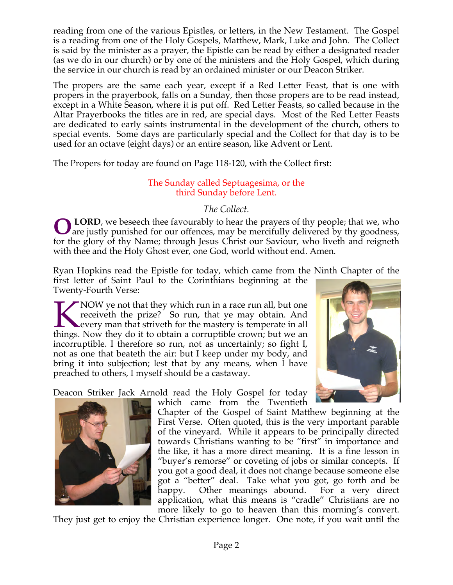reading from one of the various Epistles, or letters, in the New Testament. The Gospel is a reading from one of the Holy Gospels, Matthew, Mark, Luke and John. The Collect is said by the minister as a prayer, the Epistle can be read by either a designated reader (as we do in our church) or by one of the ministers and the Holy Gospel, which during the service in our church is read by an ordained minister or our Deacon Striker.

The propers are the same each year, except if a Red Letter Feast, that is one with propers in the prayerbook, falls on a Sunday, then those propers are to be read instead, except in a White Season, where it is put off. Red Letter Feasts, so called because in the Altar Prayerbooks the titles are in red, are special days. Most of the Red Letter Feasts are dedicated to early saints instrumental in the development of the church, others to special events. Some days are particularly special and the Collect for that day is to be used for an octave (eight days) or an entire season, like Advent or Lent.

The Propers for today are found on Page 118-120, with the Collect first:

# The Sunday called Septuagesima, or the third Sunday before Lent.

# *The Collect.*

 **LORD**, we beseech thee favourably to hear the prayers of thy people; that we, who **OLORD**, we beseech thee favourably to hear the prayers of thy people; that we, who are justly punished for our offences, may be mercifully delivered by thy goodness, for the glory of thy Name; through Jesus Christ our Saviour, who liveth and reigneth with thee and the Holy Ghost ever, one God, world without end. Amen*.*

Ryan Hopkins read the Epistle for today, which came from the Ninth Chapter of the first letter of Saint Paul to the Corinthians beginning at the Twenty-Fourth Verse:

NOW ye not that they which run in a race run all, but one receiveth the prize? So run, that ye may obtain. And every man that striveth for the mastery is temperate in all KNOW ye not that they which run in a race run all, but one receiveth the prize? So run, that ye may obtain. And every man that striveth for the mastery is temperate in all things. Now they do it to obtain a corruptible cro incorruptible. I therefore so run, not as uncertainly; so fight I, not as one that beateth the air: but I keep under my body, and bring it into subjection; lest that by any means, when I have preached to others, I myself should be a castaway.

Deacon Striker Jack Arnold read the Holy Gospel for today



which came from the Twentieth



Chapter of the Gospel of Saint Matthew beginning at the First Verse. Often quoted, this is the very important parable of the vineyard. While it appears to be principally directed towards Christians wanting to be "first" in importance and the like, it has a more direct meaning. It is a fine lesson in "buyer's remorse" or coveting of jobs or similar concepts. If you got a good deal, it does not change because someone else got a "better" deal. Take what you got, go forth and be happy. Other meanings abound. For a very direct application, what this means is "cradle" Christians are no more likely to go to heaven than this morning's convert.

They just get to enjoy the Christian experience longer. One note, if you wait until the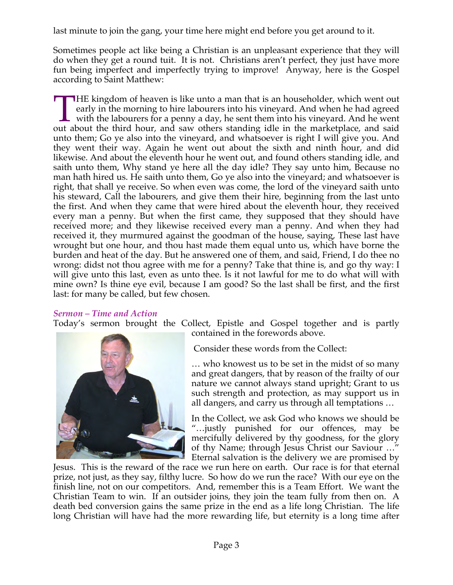last minute to join the gang, your time here might end before you get around to it.

Sometimes people act like being a Christian is an unpleasant experience that they will do when they get a round tuit. It is not. Christians aren't perfect, they just have more fun being imperfect and imperfectly trying to improve! Anyway, here is the Gospel according to Saint Matthew:

**HE** kingdom of heaven is like unto a man that is an householder, which went out early in the morning to hire labourers into his vineyard. And when he had agreed with the labourers for a penny a day, he sent them into his vineyard. And he went THE kingdom of heaven is like unto a man that is an householder, which went out early in the morning to hire labourers into his vineyard. And when he had agreed with the labourers for a penny a day, he sent them into his v unto them; Go ye also into the vineyard, and whatsoever is right I will give you. And they went their way. Again he went out about the sixth and ninth hour, and did likewise. And about the eleventh hour he went out, and found others standing idle, and saith unto them, Why stand ye here all the day idle? They say unto him, Because no man hath hired us. He saith unto them, Go ye also into the vineyard; and whatsoever is right, that shall ye receive. So when even was come, the lord of the vineyard saith unto his steward, Call the labourers, and give them their hire, beginning from the last unto the first. And when they came that were hired about the eleventh hour, they received every man a penny. But when the first came, they supposed that they should have received more; and they likewise received every man a penny. And when they had received it, they murmured against the goodman of the house, saying, These last have wrought but one hour, and thou hast made them equal unto us, which have borne the burden and heat of the day. But he answered one of them, and said, Friend, I do thee no wrong: didst not thou agree with me for a penny? Take that thine is, and go thy way: I will give unto this last, even as unto thee. Is it not lawful for me to do what will with mine own? Is thine eye evil, because I am good? So the last shall be first, and the first last: for many be called, but few chosen.

## *Sermon – Time and Action*

Today's sermon brought the Collect, Epistle and Gospel together and is partly



contained in the forewords above.

Consider these words from the Collect:

… who knowest us to be set in the midst of so many and great dangers, that by reason of the frailty of our nature we cannot always stand upright; Grant to us such strength and protection, as may support us in all dangers, and carry us through all temptations …

In the Collect, we ask God who knows we should be "…justly punished for our offences, may be mercifully delivered by thy goodness, for the glory of thy Name; through Jesus Christ our Saviour …" Eternal salvation is the delivery we are promised by

Jesus. This is the reward of the race we run here on earth. Our race is for that eternal prize, not just, as they say, filthy lucre. So how do we run the race? With our eye on the finish line, not on our competitors. And, remember this is a Team Effort. We want the Christian Team to win. If an outsider joins, they join the team fully from then on. A death bed conversion gains the same prize in the end as a life long Christian. The life long Christian will have had the more rewarding life, but eternity is a long time after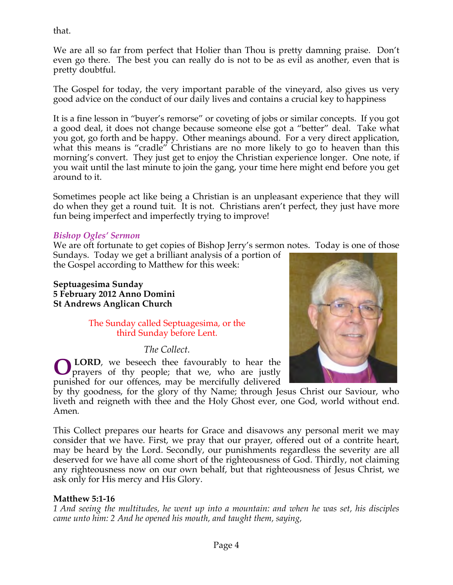that.

We are all so far from perfect that Holier than Thou is pretty damning praise. Don't even go there. The best you can really do is not to be as evil as another, even that is pretty doubtful.

The Gospel for today, the very important parable of the vineyard, also gives us very good advice on the conduct of our daily lives and contains a crucial key to happiness

It is a fine lesson in "buyer's remorse" or coveting of jobs or similar concepts. If you got a good deal, it does not change because someone else got a "better" deal. Take what you got, go forth and be happy. Other meanings abound. For a very direct application, what this means is "cradle" Christians are no more likely to go to heaven than this morning's convert. They just get to enjoy the Christian experience longer. One note, if you wait until the last minute to join the gang, your time here might end before you get around to it.

Sometimes people act like being a Christian is an unpleasant experience that they will do when they get a round tuit. It is not. Christians aren't perfect, they just have more fun being imperfect and imperfectly trying to improve!

## *Bishop Ogles' Sermon*

We are oft fortunate to get copies of Bishop Jerry's sermon notes. Today is one of those

Sundays. Today we get a brilliant analysis of a portion of the Gospel according to Matthew for this week:

**Septuagesima Sunday 5 February 2012 Anno Domini St Andrews Anglican Church**

> The Sunday called Septuagesima, or the third Sunday before Lent.

> > *The Collect.*

 **LORD**, we beseech thee favourably to hear the prayers of thy people; that we, who are justly punished for our offences, may be mercifully delivered **O**



by thy goodness, for the glory of thy Name; through Jesus Christ our Saviour, who liveth and reigneth with thee and the Holy Ghost ever, one God, world without end. Amen*.*

This Collect prepares our hearts for Grace and disavows any personal merit we may consider that we have. First, we pray that our prayer, offered out of a contrite heart, may be heard by the Lord. Secondly, our punishments regardless the severity are all deserved for we have all come short of the righteousness of God. Thirdly, not claiming any righteousness now on our own behalf, but that righteousness of Jesus Christ, we ask only for His mercy and His Glory.

## **Matthew 5:1-16**

*1 And seeing the multitudes, he went up into a mountain: and when he was set, his disciples came unto him: 2 And he opened his mouth, and taught them, saying,*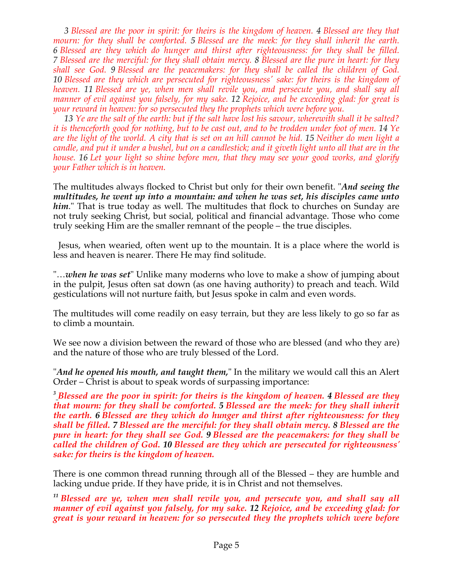*3 Blessed are the poor in spirit: for theirs is the kingdom of heaven. 4 Blessed are they that mourn: for they shall be comforted. 5 Blessed are the meek: for they shall inherit the earth. 6 Blessed are they which do hunger and thirst after righteousness: for they shall be filled. 7 Blessed are the merciful: for they shall obtain mercy. 8 Blessed are the pure in heart: for they shall see God. 9 Blessed are the peacemakers: for they shall be called the children of God. 10 Blessed are they which are persecuted for righteousness' sake: for theirs is the kingdom of heaven. 11 Blessed are ye, when men shall revile you, and persecute you, and shall say all manner of evil against you falsely, for my sake. 12 Rejoice, and be exceeding glad: for great is your reward in heaven: for so persecuted they the prophets which were before you.*

 *13 Ye are the salt of the earth: but if the salt have lost his savour, wherewith shall it be salted? it is thenceforth good for nothing, but to be cast out, and to be trodden under foot of men. 14 Ye are the light of the world. A city that is set on an hill cannot be hid. 15 Neither do men light a candle, and put it under a bushel, but on a candlestick; and it giveth light unto all that are in the house. 16 Let your light so shine before men, that they may see your good works, and glorify your Father which is in heaven.*

The multitudes always flocked to Christ but only for their own benefit. "*And seeing the multitudes, he went up into a mountain: and when he was set, his disciples came unto him*." That is true today as well. The multitudes that flock to churches on Sunday are not truly seeking Christ, but social, political and financial advantage. Those who come truly seeking Him are the smaller remnant of the people – the true disciples.

 Jesus, when wearied, often went up to the mountain. It is a place where the world is less and heaven is nearer. There He may find solitude.

"…*when he was set*" Unlike many moderns who love to make a show of jumping about in the pulpit, Jesus often sat down (as one having authority) to preach and teach. Wild gesticulations will not nurture faith, but Jesus spoke in calm and even words.

The multitudes will come readily on easy terrain, but they are less likely to go so far as to climb a mountain.

We see now a division between the reward of those who are blessed (and who they are) and the nature of those who are truly blessed of the Lord.

"*And he opened his mouth, and taught them,*" In the military we would call this an Alert Order – Christ is about to speak words of surpassing importance:

*<sup>3</sup> Blessed are the poor in spirit: for theirs is the kingdom of heaven. 4 Blessed are they that mourn: for they shall be comforted. 5 Blessed are the meek: for they shall inherit the earth. 6 Blessed are they which do hunger and thirst after righteousness: for they shall be filled. 7 Blessed are the merciful: for they shall obtain mercy. 8 Blessed are the pure in heart: for they shall see God. 9 Blessed are the peacemakers: for they shall be called the children of God. 10 Blessed are they which are persecuted for righteousness' sake: for theirs is the kingdom of heaven.*

There is one common thread running through all of the Blessed – they are humble and lacking undue pride. If they have pride, it is in Christ and not themselves.

*<sup>11</sup> Blessed are ye, when men shall revile you, and persecute you, and shall say all manner of evil against you falsely, for my sake. 12 Rejoice, and be exceeding glad: for great is your reward in heaven: for so persecuted they the prophets which were before*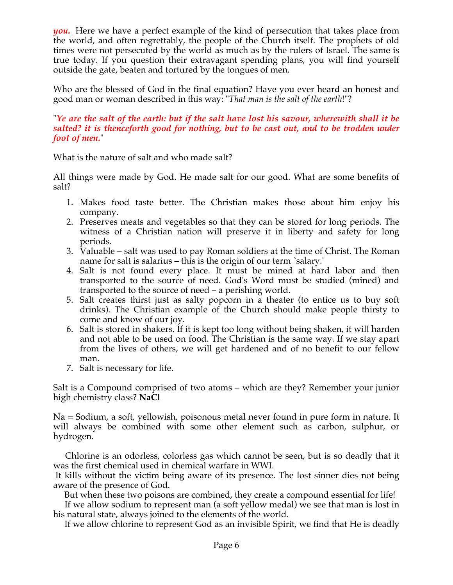*you.* Here we have a perfect example of the kind of persecution that takes place from the world, and often regrettably, the people of the Church itself. The prophets of old times were not persecuted by the world as much as by the rulers of Israel. The same is true today. If you question their extravagant spending plans, you will find yourself outside the gate, beaten and tortured by the tongues of men.

Who are the blessed of God in the final equation? Have you ever heard an honest and good man or woman described in this way: "*That man is the salt of the earth*!"?

#### "*Ye are the salt of the earth: but if the salt have lost his savour, wherewith shall it be salted? it is thenceforth good for nothing, but to be cast out, and to be trodden under foot of men.*"

What is the nature of salt and who made salt?

All things were made by God. He made salt for our good. What are some benefits of salt?

- 1. Makes food taste better. The Christian makes those about him enjoy his company.
- 2. Preserves meats and vegetables so that they can be stored for long periods. The witness of a Christian nation will preserve it in liberty and safety for long periods.
- 3. Valuable salt was used to pay Roman soldiers at the time of Christ. The Roman name for salt is salarius – this is the origin of our term `salary.'
- 4. Salt is not found every place. It must be mined at hard labor and then transported to the source of need. God's Word must be studied (mined) and transported to the source of need – a perishing world.
- 5. Salt creates thirst just as salty popcorn in a theater (to entice us to buy soft drinks). The Christian example of the Church should make people thirsty to come and know of our joy.
- 6. Salt is stored in shakers. If it is kept too long without being shaken, it will harden and not able to be used on food. The Christian is the same way. If we stay apart from the lives of others, we will get hardened and of no benefit to our fellow man.
- 7. Salt is necessary for life.

Salt is a Compound comprised of two atoms – which are they? Remember your junior high chemistry class? **NaCl**

Na = Sodium, a soft, yellowish, poisonous metal never found in pure form in nature. It will always be combined with some other element such as carbon, sulphur, or hydrogen.

 Chlorine is an odorless, colorless gas which cannot be seen, but is so deadly that it was the first chemical used in chemical warfare in WWI.

It kills without the victim being aware of its presence. The lost sinner dies not being aware of the presence of God.

But when these two poisons are combined, they create a compound essential for life!

 If we allow sodium to represent man (a soft yellow medal) we see that man is lost in his natural state, always joined to the elements of the world.

If we allow chlorine to represent God as an invisible Spirit, we find that He is deadly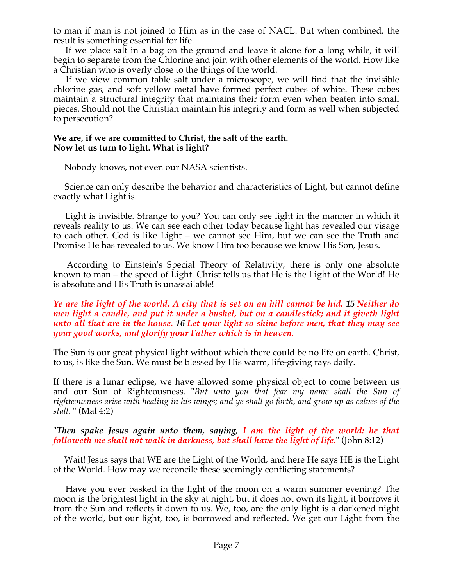to man if man is not joined to Him as in the case of NACL. But when combined, the result is something essential for life.

 If we place salt in a bag on the ground and leave it alone for a long while, it will begin to separate from the Chlorine and join with other elements of the world. How like a Christian who is overly close to the things of the world.

 If we view common table salt under a microscope, we will find that the invisible chlorine gas, and soft yellow metal have formed perfect cubes of white. These cubes maintain a structural integrity that maintains their form even when beaten into small pieces. Should not the Christian maintain his integrity and form as well when subjected to persecution?

#### **We are, if we are committed to Christ, the salt of the earth. Now let us turn to light. What is light?**

Nobody knows, not even our NASA scientists.

 Science can only describe the behavior and characteristics of Light, but cannot define exactly what Light is.

 Light is invisible. Strange to you? You can only see light in the manner in which it reveals reality to us. We can see each other today because light has revealed our visage to each other. God is like Light – we cannot see Him, but we can see the Truth and Promise He has revealed to us. We know Him too because we know His Son, Jesus.

 According to Einstein's Special Theory of Relativity, there is only one absolute known to man – the speed of Light. Christ tells us that He is the Light of the World! He is absolute and His Truth is unassailable!

#### *Ye are the light of the world. A city that is set on an hill cannot be hid. 15 Neither do men light a candle, and put it under a bushel, but on a candlestick; and it giveth light unto all that are in the house. 16 Let your light so shine before men, that they may see your good works, and glorify your Father which is in heaven.*

The Sun is our great physical light without which there could be no life on earth. Christ, to us, is like the Sun. We must be blessed by His warm, life-giving rays daily.

If there is a lunar eclipse, we have allowed some physical object to come between us and our Sun of Righteousness. "*But unto you that fear my name shall the Sun of righteousness arise with healing in his wings; and ye shall go forth, and grow up as calves of the stall*. " (Mal 4:2)

#### "*Then spake Jesus again unto them, saying, I am the light of the world: he that followeth me shall not walk in darkness, but shall have the light of life*." (John 8:12)

 Wait! Jesus says that WE are the Light of the World, and here He says HE is the Light of the World. How may we reconcile these seemingly conflicting statements?

 Have you ever basked in the light of the moon on a warm summer evening? The moon is the brightest light in the sky at night, but it does not own its light, it borrows it from the Sun and reflects it down to us. We, too, are the only light is a darkened night of the world, but our light, too, is borrowed and reflected. We get our Light from the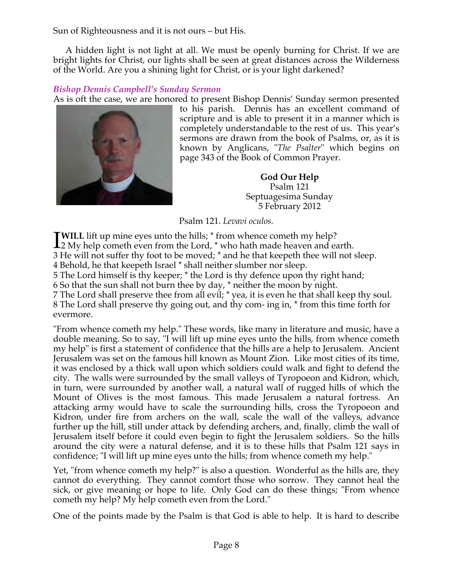Sun of Righteousness and it is not ours – but His.

 A hidden light is not light at all. We must be openly burning for Christ. If we are bright lights for Christ, our lights shall be seen at great distances across the Wilderness of the World. Are you a shining light for Christ, or is your light darkened?

# *Bishop Dennis Campbell's Sunday Sermon*

As is oft the case, we are honored to present Bishop Dennis' Sunday sermon presented



to his parish. Dennis has an excellent command of scripture and is able to present it in a manner which is completely understandable to the rest of us. This year's sermons are drawn from the book of Psalms, or, as it is known by Anglicans, "*The Psalter*" which begins on page 343 of the Book of Common Prayer.

> **God Our Help** Psalm 121 Septuagesima Sunday 5 February 2012

Psalm 121. *Levavi oculos.*

**TWILL** lift up mine eyes unto the hills; \* from whence cometh my help? **TWILL** lift up mine eyes unto the hills;  $*$  from whence cometh my help?<br>  $22 My help cometh even from the Lord,  $*$  who hath made heaven and earth.$ 

3 He will not suffer thy foot to be moved; \* and he that keepeth thee will not sleep.

4 Behold, he that keepeth Israel \* shall neither slumber nor sleep.

5 The Lord himself is thy keeper; \* the Lord is thy defence upon thy right hand;

6 So that the sun shall not burn thee by day, \* neither the moon by night.

7 The Lord shall preserve thee from all evil; \* yea, it is even he that shall keep thy soul. 8 The Lord shall preserve thy going out, and thy com- ing in, \* from this time forth for evermore.

"From whence cometh my help." These words, like many in literature and music, have a double meaning. So to say, "I will lift up mine eyes unto the hills, from whence cometh my help" is first a statement of confidence that the hills are a help to Jerusalem. Ancient Jerusalem was set on the famous hill known as Mount Zion. Like most cities of its time, it was enclosed by a thick wall upon which soldiers could walk and fight to defend the city. The walls were surrounded by the small valleys of Tyropoeon and Kidron, which, in turn, were surrounded by another wall, a natural wall of rugged hills of which the Mount of Olives is the most famous. This made Jerusalem a natural fortress. An attacking army would have to scale the surrounding hills, cross the Tyropoeon and Kidron, under fire from archers on the wall, scale the wall of the valleys, advance further up the hill, still under attack by defending archers, and, finally, climb the wall of Jerusalem itself before it could even begin to fight the Jerusalem soldiers. So the hills around the city were a natural defense, and it is to these hills that Psalm 121 says in confidence; "I will lift up mine eyes unto the hills; from whence cometh my help."

Yet, "from whence cometh my help?" is also a question. Wonderful as the hills are, they cannot do everything. They cannot comfort those who sorrow. They cannot heal the sick, or give meaning or hope to life. Only God can do these things; "From whence cometh my help? My help cometh even from the Lord."

One of the points made by the Psalm is that God is able to help. It is hard to describe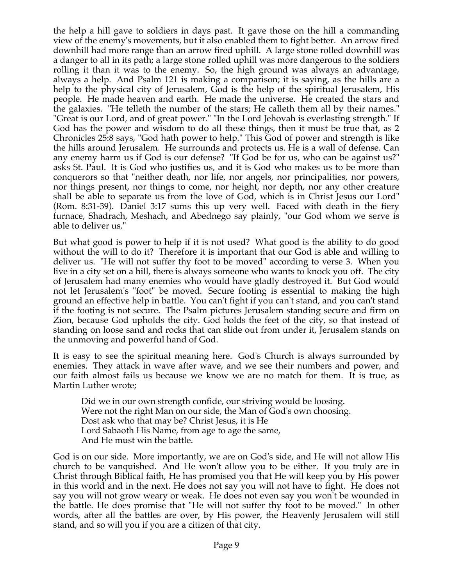the help a hill gave to soldiers in days past. It gave those on the hill a commanding view of the enemy's movements, but it also enabled them to fight better. An arrow fired downhill had more range than an arrow fired uphill. A large stone rolled downhill was a danger to all in its path; a large stone rolled uphill was more dangerous to the soldiers rolling it than it was to the enemy. So, the high ground was always an advantage, always a help. And Psalm 121 is making a comparison; it is saying, as the hills are a help to the physical city of Jerusalem, God is the help of the spiritual Jerusalem, His people. He made heaven and earth. He made the universe. He created the stars and the galaxies. "He telleth the number of the stars; He calleth them all by their names." "Great is our Lord, and of great power." "In the Lord Jehovah is everlasting strength." If God has the power and wisdom to do all these things, then it must be true that, as 2 Chronicles 25:8 says, "God hath power to help." This God of power and strength is like the hills around Jerusalem. He surrounds and protects us. He is a wall of defense. Can any enemy harm us if God is our defense? "If God be for us, who can be against us?" asks St. Paul. It is God who justifies us, and it is God who makes us to be more than conquerors so that "neither death, nor life, nor angels, nor principalities, nor powers, nor things present, nor things to come, nor height, nor depth, nor any other creature shall be able to separate us from the love of God, which is in Christ Jesus our Lord" (Rom. 8:31-39). Daniel 3:17 sums this up very well. Faced with death in the fiery furnace, Shadrach, Meshach, and Abednego say plainly, "our God whom we serve is able to deliver us."

But what good is power to help if it is not used? What good is the ability to do good without the will to do it? Therefore it is important that our God is able and willing to deliver us. "He will not suffer thy foot to be moved" according to verse 3. When you live in a city set on a hill, there is always someone who wants to knock you off. The city of Jerusalem had many enemies who would have gladly destroyed it. But God would not let Jerusalem's "foot" be moved. Secure footing is essential to making the high ground an effective help in battle. You can't fight if you can't stand, and you can't stand if the footing is not secure. The Psalm pictures Jerusalem standing secure and firm on Zion, because God upholds the city. God holds the feet of the city, so that instead of standing on loose sand and rocks that can slide out from under it, Jerusalem stands on the unmoving and powerful hand of God.

It is easy to see the spiritual meaning here. God's Church is always surrounded by enemies. They attack in wave after wave, and we see their numbers and power, and our faith almost fails us because we know we are no match for them. It is true, as Martin Luther wrote;

Did we in our own strength confide, our striving would be loosing. Were not the right Man on our side, the Man of God's own choosing. Dost ask who that may be? Christ Jesus, it is He Lord Sabaoth His Name, from age to age the same, And He must win the battle.

God is on our side. More importantly, we are on God's side, and He will not allow His church to be vanquished. And He won't allow you to be either. If you truly are in Christ through Biblical faith, He has promised you that He will keep you by His power in this world and in the next. He does not say you will not have to fight. He does not say you will not grow weary or weak. He does not even say you won't be wounded in the battle. He does promise that "He will not suffer thy foot to be moved." In other words, after all the battles are over, by His power, the Heavenly Jerusalem will still stand, and so will you if you are a citizen of that city.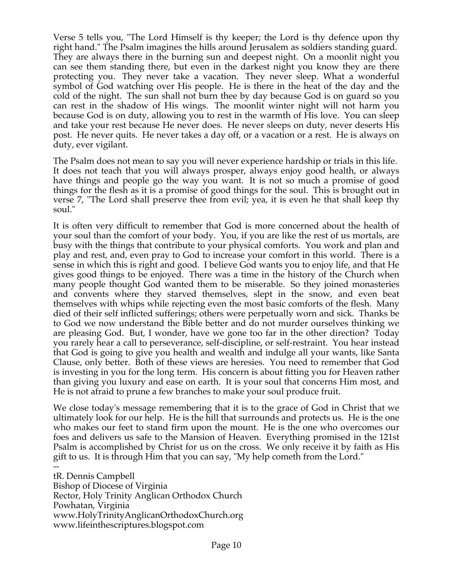Verse 5 tells you, "The Lord Himself is thy keeper; the Lord is thy defence upon thy right hand." The Psalm imagines the hills around Jerusalem as soldiers standing guard. They are always there in the burning sun and deepest night. On a moonlit night you can see them standing there, but even in the darkest night you know they are there protecting you. They never take a vacation. They never sleep. What a wonderful symbol of God watching over His people. He is there in the heat of the day and the cold of the night. The sun shall not burn thee by day because God is on guard so you can rest in the shadow of His wings. The moonlit winter night will not harm you because God is on duty, allowing you to rest in the warmth of His love. You can sleep and take your rest because He never does. He never sleeps on duty, never deserts His post. He never quits. He never takes a day off, or a vacation or a rest. He is always on duty, ever vigilant.

The Psalm does not mean to say you will never experience hardship or trials in this life. It does not teach that you will always prosper, always enjoy good health, or always have things and people go the way you want. It is not so much a promise of good things for the flesh as it is a promise of good things for the soul. This is brought out in verse 7, "The Lord shall preserve thee from evil; yea, it is even he that shall keep thy soul."

It is often very difficult to remember that God is more concerned about the health of your soul than the comfort of your body. You, if you are like the rest of us mortals, are busy with the things that contribute to your physical comforts. You work and plan and play and rest, and, even pray to God to increase your comfort in this world. There is a sense in which this is right and good. I believe God wants you to enjoy life, and that He gives good things to be enjoyed. There was a time in the history of the Church when many people thought God wanted them to be miserable. So they joined monasteries and convents where they starved themselves, slept in the snow, and even beat themselves with whips while rejecting even the most basic comforts of the flesh. Many died of their self inflicted sufferings; others were perpetually worn and sick. Thanks be to God we now understand the Bible better and do not murder ourselves thinking we are pleasing God. But, I wonder, have we gone too far in the other direction? Today you rarely hear a call to perseverance, self-discipline, or self-restraint. You hear instead that God is going to give you health and wealth and indulge all your wants, like Santa Clause, only better. Both of these views are heresies. You need to remember that God is investing in you for the long term. His concern is about fitting you for Heaven rather than giving you luxury and ease on earth. It is your soul that concerns Him most, and He is not afraid to prune a few branches to make your soul produce fruit.

We close today's message remembering that it is to the grace of God in Christ that we ultimately look for our help. He is the hill that surrounds and protects us. He is the one who makes our feet to stand firm upon the mount. He is the one who overcomes our foes and delivers us safe to the Mansion of Heaven. Everything promised in the 121st Psalm is accomplished by Christ for us on the cross. We only receive it by faith as His gift to us. It is through Him that you can say, "My help cometh from the Lord."

- tR. Dennis Campbell Bishop of Diocese of Virginia Rector, Holy Trinity Anglican Orthodox Church Powhatan, Virginia www.HolyTrinityAnglicanOrthodoxChurch.org www.lifeinthescriptures.blogspot.com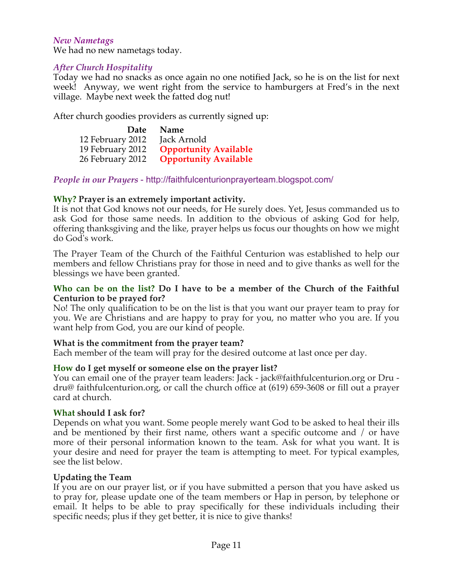#### *New Nametags*

We had no new nametags today.

## *After Church Hospitality*

Today we had no snacks as once again no one notified Jack, so he is on the list for next week! Anyway, we went right from the service to hamburgers at Fred's in the next village. Maybe next week the fatted dog nut!

After church goodies providers as currently signed up:

|                  | Date Name                    |
|------------------|------------------------------|
| 12 February 2012 | Jack Arnold                  |
| 19 February 2012 | <b>Opportunity Available</b> |
| 26 February 2012 | <b>Opportunity Available</b> |

*People in our Prayers* - http://faithfulcenturionprayerteam.blogspot.com/

## **Why? Prayer is an extremely important activity.**

It is not that God knows not our needs, for He surely does. Yet, Jesus commanded us to ask God for those same needs. In addition to the obvious of asking God for help, offering thanksgiving and the like, prayer helps us focus our thoughts on how we might do God's work.

The Prayer Team of the Church of the Faithful Centurion was established to help our members and fellow Christians pray for those in need and to give thanks as well for the blessings we have been granted.

#### **Who can be on the list? Do I have to be a member of the Church of the Faithful Centurion to be prayed for?**

No! The only qualification to be on the list is that you want our prayer team to pray for you. We are Christians and are happy to pray for you, no matter who you are. If you want help from God, you are our kind of people.

## **What is the commitment from the prayer team?**

Each member of the team will pray for the desired outcome at last once per day.

## **How do I get myself or someone else on the prayer list?**

You can email one of the prayer team leaders: Jack - jack@faithfulcenturion.org or Dru dru@ faithfulcenturion.org, or call the church office at (619) 659-3608 or fill out a prayer card at church.

#### **What should I ask for?**

Depends on what you want. Some people merely want God to be asked to heal their ills and be mentioned by their first name, others want a specific outcome and / or have more of their personal information known to the team. Ask for what you want. It is your desire and need for prayer the team is attempting to meet. For typical examples, see the list below.

#### **Updating the Team**

If you are on our prayer list, or if you have submitted a person that you have asked us to pray for, please update one of the team members or Hap in person, by telephone or email. It helps to be able to pray specifically for these individuals including their specific needs; plus if they get better, it is nice to give thanks!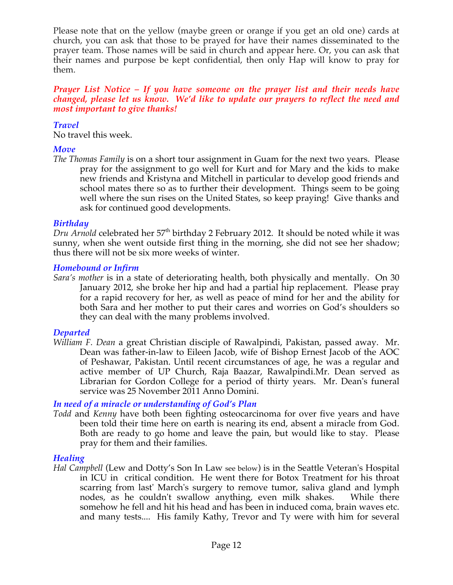Please note that on the yellow (maybe green or orange if you get an old one) cards at church, you can ask that those to be prayed for have their names disseminated to the prayer team. Those names will be said in church and appear here. Or, you can ask that their names and purpose be kept confidential, then only Hap will know to pray for them.

#### *Prayer List Notice – If you have someone on the prayer list and their needs have changed, please let us know. We'd like to update our prayers to reflect the need and most important to give thanks!*

#### *Travel*

No travel this week.

## *Move*

*The Thomas Family* is on a short tour assignment in Guam for the next two years. Please pray for the assignment to go well for Kurt and for Mary and the kids to make new friends and Kristyna and Mitchell in particular to develop good friends and school mates there so as to further their development. Things seem to be going well where the sun rises on the United States, so keep praying! Give thanks and ask for continued good developments.

## *Birthday*

*Dru Arnold* celebrated her 57<sup>th</sup> birthday 2 February 2012. It should be noted while it was sunny, when she went outside first thing in the morning, she did not see her shadow; thus there will not be six more weeks of winter.

#### *Homebound or Infirm*

*Sara's mother* is in a state of deteriorating health, both physically and mentally. On 30 January 2012, she broke her hip and had a partial hip replacement. Please pray for a rapid recovery for her, as well as peace of mind for her and the ability for both Sara and her mother to put their cares and worries on God's shoulders so they can deal with the many problems involved.

## *Departed*

*William F. Dean* a great Christian disciple of Rawalpindi, Pakistan, passed away. Mr. Dean was father-in-law to Eileen Jacob, wife of Bishop Ernest Jacob of the AOC of Peshawar, Pakistan. Until recent circumstances of age, he was a regular and active member of UP Church, Raja Baazar, Rawalpindi.Mr. Dean served as Librarian for Gordon College for a period of thirty years. Mr. Dean's funeral service was 25 November 2011 Anno Domini.

## *In need of a miracle or understanding of God's Plan*

*Todd* and *Kenny* have both been fighting osteocarcinoma for over five years and have been told their time here on earth is nearing its end, absent a miracle from God. Both are ready to go home and leave the pain, but would like to stay. Please pray for them and their families.

## *Healing*

*Hal Campbell* (Lew and Dotty's Son In Law see below) is in the Seattle Veteran's Hospital in ICU in critical condition. He went there for Botox Treatment for his throat scarring from last' March's surgery to remove tumor, saliva gland and lymph nodes, as he couldn't swallow anything, even milk shakes. While there somehow he fell and hit his head and has been in induced coma, brain waves etc. and many tests.... His family Kathy, Trevor and Ty were with him for several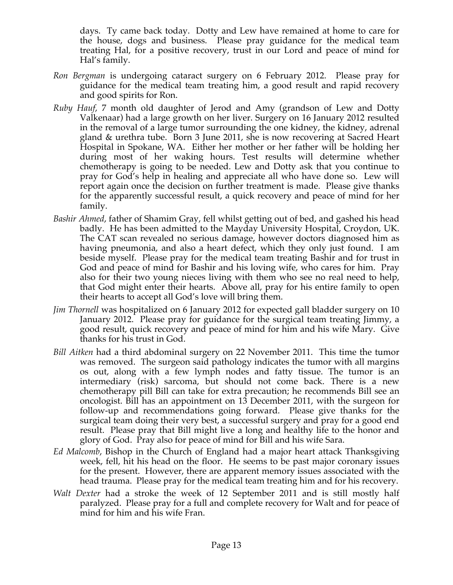days. Ty came back today. Dotty and Lew have remained at home to care for the house, dogs and business. Please pray guidance for the medical team treating Hal, for a positive recovery, trust in our Lord and peace of mind for Hal's family.

- *Ron Bergman* is undergoing cataract surgery on 6 February 2012. Please pray for guidance for the medical team treating him, a good result and rapid recovery and good spirits for Ron.
- *Ruby Hauf*, 7 month old daughter of Jerod and Amy (grandson of Lew and Dotty Valkenaar) had a large growth on her liver. Surgery on 16 January 2012 resulted in the removal of a large tumor surrounding the one kidney, the kidney, adrenal gland & urethra tube. Born 3 June 2011, she is now recovering at Sacred Heart Hospital in Spokane, WA. Either her mother or her father will be holding her during most of her waking hours. Test results will determine whether chemotherapy is going to be needed. Lew and Dotty ask that you continue to pray for God's help in healing and appreciate all who have done so. Lew will report again once the decision on further treatment is made. Please give thanks for the apparently successful result, a quick recovery and peace of mind for her family.
- *Bashir Ahmed*, father of Shamim Gray, fell whilst getting out of bed, and gashed his head badly. He has been admitted to the Mayday University Hospital, Croydon, UK. The CAT scan revealed no serious damage, however doctors diagnosed him as having pneumonia, and also a heart defect, which they only just found. I am beside myself. Please pray for the medical team treating Bashir and for trust in God and peace of mind for Bashir and his loving wife, who cares for him. Pray also for their two young nieces living with them who see no real need to help, that God might enter their hearts. Above all, pray for his entire family to open their hearts to accept all God's love will bring them.
- *Jim Thornell* was hospitalized on 6 January 2012 for expected gall bladder surgery on 10 January 2012. Please pray for guidance for the surgical team treating Jimmy, a good result, quick recovery and peace of mind for him and his wife Mary. Give thanks for his trust in God.
- *Bill Aitken* had a third abdominal surgery on 22 November 2011. This time the tumor was removed. The surgeon said pathology indicates the tumor with all margins os out, along with a few lymph nodes and fatty tissue. The tumor is an intermediary (risk) sarcoma, but should not come back. There is a new chemotherapy pill Bill can take for extra precaution; he recommends Bill see an oncologist. Bill has an appointment on 13 December 2011, with the surgeon for follow-up and recommendations going forward. Please give thanks for the surgical team doing their very best, a successful surgery and pray for a good end result. Please pray that Bill might live a long and healthy life to the honor and glory of God. Pray also for peace of mind for Bill and his wife Sara.
- *Ed Malcomb*, Bishop in the Church of England had a major heart attack Thanksgiving week, fell, hit his head on the floor. He seems to be past major coronary issues for the present. However, there are apparent memory issues associated with the head trauma. Please pray for the medical team treating him and for his recovery.
- *Walt Dexter* had a stroke the week of 12 September 2011 and is still mostly half paralyzed. Please pray for a full and complete recovery for Walt and for peace of mind for him and his wife Fran.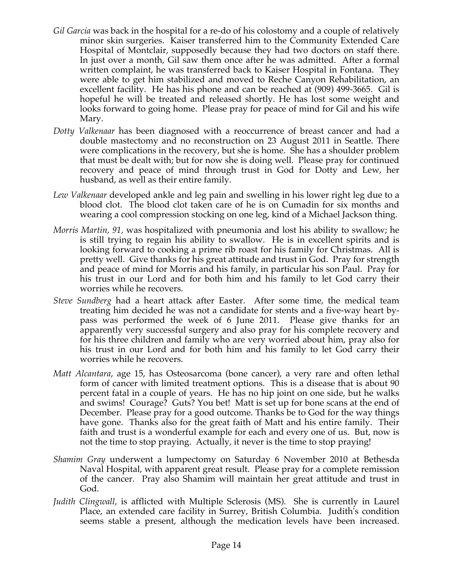- *Gil Garcia* was back in the hospital for a re-do of his colostomy and a couple of relatively minor skin surgeries. Kaiser transferred him to the Community Extended Care Hospital of Montclair, supposedly because they had two doctors on staff there. In just over a month, Gil saw them once after he was admitted. After a formal written complaint, he was transferred back to Kaiser Hospital in Fontana. They were able to get him stabilized and moved to Reche Canyon Rehabilitation, an excellent facility. He has his phone and can be reached at (909) 499-3665. Gil is hopeful he will be treated and released shortly. He has lost some weight and looks forward to going home. Please pray for peace of mind for Gil and his wife Mary.
- *Dotty Valkenaar* has been diagnosed with a reoccurrence of breast cancer and had a double mastectomy and no reconstruction on 23 August 2011 in Seattle. There were complications in the recovery, but she is home. She has a shoulder problem that must be dealt with; but for now she is doing well. Please pray for continued recovery and peace of mind through trust in God for Dotty and Lew, her husband, as well as their entire family.
- *Lew Valkenaar* developed ankle and leg pain and swelling in his lower right leg due to a blood clot. The blood clot taken care of he is on Cumadin for six months and wearing a cool compression stocking on one leg, kind of a Michael Jackson thing.
- *Morris Martin, 91,* was hospitalized with pneumonia and lost his ability to swallow; he is still trying to regain his ability to swallow. He is in excellent spirits and is looking forward to cooking a prime rib roast for his family for Christmas. All is pretty well. Give thanks for his great attitude and trust in God. Pray for strength and peace of mind for Morris and his family, in particular his son Paul. Pray for his trust in our Lord and for both him and his family to let God carry their worries while he recovers.
- *Steve Sundberg* had a heart attack after Easter. After some time, the medical team treating him decided he was not a candidate for stents and a five-way heart bypass was performed the week of 6 June 2011. Please give thanks for an apparently very successful surgery and also pray for his complete recovery and for his three children and family who are very worried about him, pray also for his trust in our Lord and for both him and his family to let God carry their worries while he recovers.
- *Matt Alcantara*, age 15, has Osteosarcoma (bone cancer), a very rare and often lethal form of cancer with limited treatment options. This is a disease that is about 90 percent fatal in a couple of years. He has no hip joint on one side, but he walks and swims! Courage? Guts? You bet! Matt is set up for bone scans at the end of December. Please pray for a good outcome. Thanks be to God for the way things have gone. Thanks also for the great faith of Matt and his entire family. Their faith and trust is a wonderful example for each and every one of us. But, now is not the time to stop praying. Actually, it never is the time to stop praying!
- *Shamim Gray* underwent a lumpectomy on Saturday 6 November 2010 at Bethesda Naval Hospital, with apparent great result. Please pray for a complete remission of the cancer. Pray also Shamim will maintain her great attitude and trust in God.
- *Judith Clingwall*, is afflicted with Multiple Sclerosis (MS). She is currently in Laurel Place, an extended care facility in Surrey, British Columbia. Judith's condition seems stable a present, although the medication levels have been increased.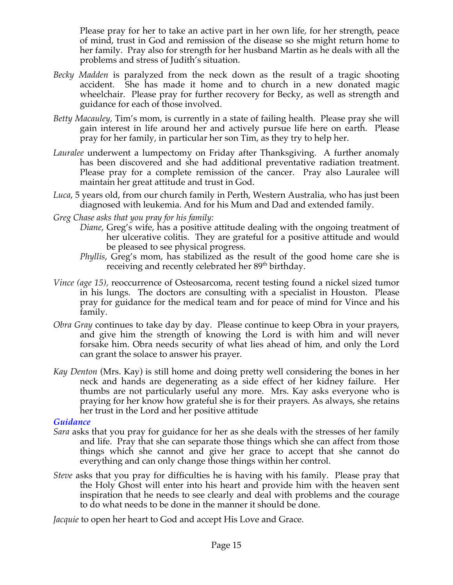Please pray for her to take an active part in her own life, for her strength, peace of mind, trust in God and remission of the disease so she might return home to her family. Pray also for strength for her husband Martin as he deals with all the problems and stress of Judith's situation.

- *Becky Madden* is paralyzed from the neck down as the result of a tragic shooting accident. She has made it home and to church in a new donated magic wheelchair. Please pray for further recovery for Becky, as well as strength and guidance for each of those involved.
- *Betty Macauley,* Tim's mom, is currently in a state of failing health. Please pray she will gain interest in life around her and actively pursue life here on earth. Please pray for her family, in particular her son Tim, as they try to help her.
- *Lauralee* underwent a lumpectomy on Friday after Thanksgiving. A further anomaly has been discovered and she had additional preventative radiation treatment. Please pray for a complete remission of the cancer. Pray also Lauralee will maintain her great attitude and trust in God.
- *Luca*, 5 years old, from our church family in Perth, Western Australia, who has just been diagnosed with leukemia. And for his Mum and Dad and extended family.
- *Greg Chase asks that you pray for his family:*
	- *Diane*, Greg's wife, has a positive attitude dealing with the ongoing treatment of her ulcerative colitis. They are grateful for a positive attitude and would be pleased to see physical progress.
		- *Phyllis*, Greg's mom, has stabilized as the result of the good home care she is receiving and recently celebrated her 89<sup>th</sup> birthday.
- *Vince (age 15),* reoccurrence of Osteosarcoma, recent testing found a nickel sized tumor in his lungs. The doctors are consulting with a specialist in Houston. Please pray for guidance for the medical team and for peace of mind for Vince and his family.
- *Obra Gray* continues to take day by day. Please continue to keep Obra in your prayers, and give him the strength of knowing the Lord is with him and will never forsake him. Obra needs security of what lies ahead of him, and only the Lord can grant the solace to answer his prayer.
- *Kay Denton* (Mrs. Kay) is still home and doing pretty well considering the bones in her neck and hands are degenerating as a side effect of her kidney failure. Her thumbs are not particularly useful any more. Mrs. Kay asks everyone who is praying for her know how grateful she is for their prayers. As always, she retains her trust in the Lord and her positive attitude.

## *Guidance*

- *Sara* asks that you pray for guidance for her as she deals with the stresses of her family and life. Pray that she can separate those things which she can affect from those things which she cannot and give her grace to accept that she cannot do everything and can only change those things within her control.
- *Steve* asks that you pray for difficulties he is having with his family. Please pray that the Holy Ghost will enter into his heart and provide him with the heaven sent inspiration that he needs to see clearly and deal with problems and the courage to do what needs to be done in the manner it should be done.

*Jacquie* to open her heart to God and accept His Love and Grace.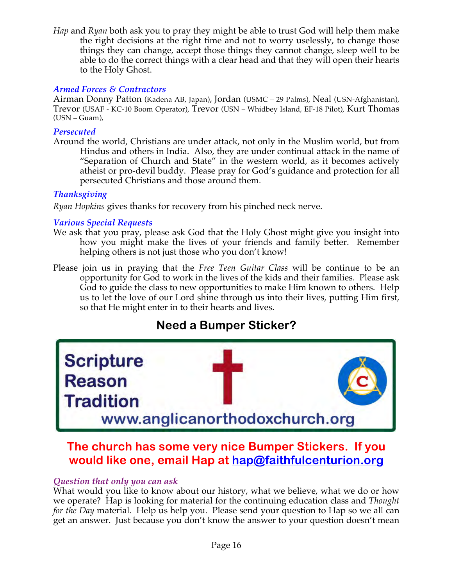*Hap* and *Ryan* both ask you to pray they might be able to trust God will help them make the right decisions at the right time and not to worry uselessly, to change those things they can change, accept those things they cannot change, sleep well to be able to do the correct things with a clear head and that they will open their hearts to the Holy Ghost.

## *Armed Forces & Contractors*

Airman Donny Patton (Kadena AB, Japan), Jordan (USMC – 29 Palms), Neal (USN-Afghanistan), Trevor (USAF - KC-10 Boom Operator), Trevor (USN – Whidbey Island, EF-18 Pilot), Kurt Thomas (USN – Guam),

#### *Persecuted*

Around the world, Christians are under attack, not only in the Muslim world, but from Hindus and others in India. Also, they are under continual attack in the name of "Separation of Church and State" in the western world, as it becomes actively atheist or pro-devil buddy. Please pray for God's guidance and protection for all persecuted Christians and those around them.

## *Thanksgiving*

*Ryan Hopkins* gives thanks for recovery from his pinched neck nerve.

## *Various Special Requests*

- We ask that you pray, please ask God that the Holy Ghost might give you insight into how you might make the lives of your friends and family better. Remember helping others is not just those who you don't know!
- Please join us in praying that the *Free Teen Guitar Class* will be continue to be an opportunity for God to work in the lives of the kids and their families. Please ask God to guide the class to new opportunities to make Him known to others. Help us to let the love of our Lord shine through us into their lives, putting Him first, so that He might enter in to their hearts and lives.

# **Need a Bumper Sticker?**



# **The church has some very nice Bumper Stickers. If you would like one, email Hap at hap@faithfulcenturion.org**

## *Question that only you can ask*

What would you like to know about our history, what we believe, what we do or how we operate? Hap is looking for material for the continuing education class and *Thought for the Day* material. Help us help you. Please send your question to Hap so we all can get an answer. Just because you don't know the answer to your question doesn't mean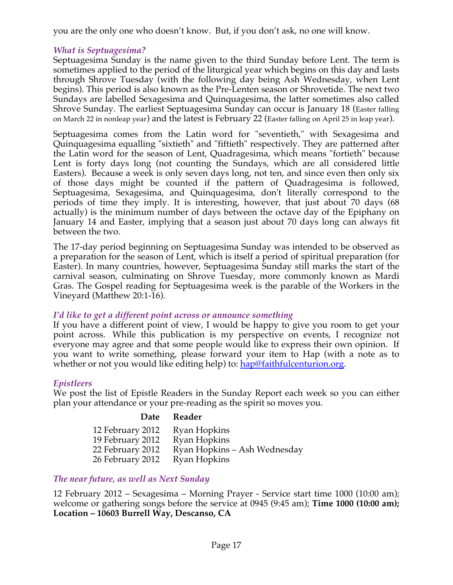you are the only one who doesn't know. But, if you don't ask, no one will know.

## *What is Septuagesima?*

Septuagesima Sunday is the name given to the third Sunday before Lent. The term is sometimes applied to the period of the liturgical year which begins on this day and lasts through Shrove Tuesday (with the following day being Ash Wednesday, when Lent begins). This period is also known as the Pre-Lenten season or Shrovetide. The next two Sundays are labelled Sexagesima and Quinquagesima, the latter sometimes also called Shrove Sunday. The earliest Septuagesima Sunday can occur is January 18 (Easter falling on March 22 in nonleap year) and the latest is February 22 (Easter falling on April 25 in leap year).

Septuagesima comes from the Latin word for "seventieth," with Sexagesima and Quinquagesima equalling "sixtieth" and "fiftieth" respectively. They are patterned after the Latin word for the season of Lent, Quadragesima, which means "fortieth" because Lent is forty days long (not counting the Sundays, which are all considered little Easters). Because a week is only seven days long, not ten, and since even then only six of those days might be counted if the pattern of Quadragesima is followed, Septuagesima, Sexagesima, and Quinquagesima, don't literally correspond to the periods of time they imply. It is interesting, however, that just about 70 days (68 actually) is the minimum number of days between the octave day of the Epiphany on January 14 and Easter, implying that a season just about 70 days long can always fit between the two.

The 17-day period beginning on Septuagesima Sunday was intended to be observed as a preparation for the season of Lent, which is itself a period of spiritual preparation (for Easter). In many countries, however, Septuagesima Sunday still marks the start of the carnival season, culminating on Shrove Tuesday, more commonly known as Mardi Gras. The Gospel reading for Septuagesima week is the parable of the Workers in the Vineyard (Matthew 20:1-16).

## *I'd like to get a different point across or announce something*

If you have a different point of view, I would be happy to give you room to get your point across. While this publication is my perspective on events, I recognize not everyone may agree and that some people would like to express their own opinion. If you want to write something, please forward your item to Hap (with a note as to whether or not you would like editing help) to: hap@faithfulcenturion.org.

# *Epistleers*

We post the list of Epistle Readers in the Sunday Report each week so you can either plan your attendance or your pre-reading as the spirit so moves you.

## **Date Reader**

| 12 February 2012 | Ryan Hopkins                 |
|------------------|------------------------------|
| 19 February 2012 | Ryan Hopkins                 |
| 22 February 2012 | Ryan Hopkins – Ash Wednesday |
| 26 February 2012 | Ryan Hopkins                 |

## *The near future, as well as Next Sunday*

12 February 2012 – Sexagesima – Morning Prayer - Service start time 1000 (10:00 am); welcome or gathering songs before the service at 0945 (9:45 am); **Time 1000 (10:00 am); Location – 10603 Burrell Way, Descanso, CA**